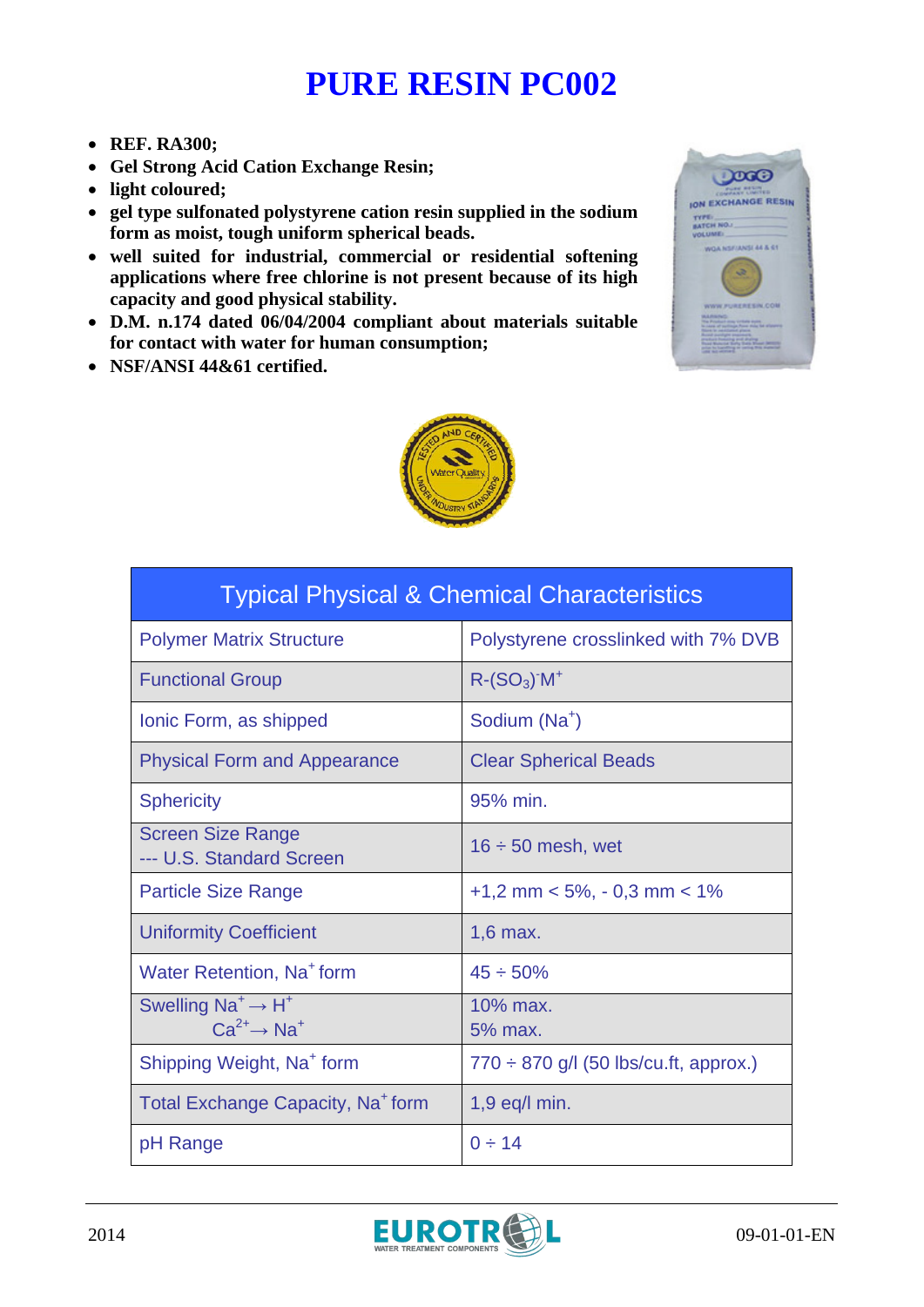## **PURE RESIN PC002**

- **REF. RA300;**
- **Gel Strong Acid Cation Exchange Resin;**
- **light coloured;**
- **gel type sulfonated polystyrene cation resin supplied in the sodium form as moist, tough uniform spherical beads.**
- **well suited for industrial, commercial or residential softening applications where free chlorine is not present because of its high capacity and good physical stability.**
- **D.M. n.174 dated 06/04/2004 compliant about materials suitable for contact with water for human consumption;**
- **NSF/ANSI 44&61 certified.**





| <b>Typical Physical &amp; Chemical Characteristics</b>          |                                            |
|-----------------------------------------------------------------|--------------------------------------------|
| <b>Polymer Matrix Structure</b>                                 | Polystyrene crosslinked with 7% DVB        |
| <b>Functional Group</b>                                         | $R-(SO3)$ <sup>-</sup> $M+$                |
| Ionic Form, as shipped                                          | Sodium (Na <sup>+</sup> )                  |
| <b>Physical Form and Appearance</b>                             | <b>Clear Spherical Beads</b>               |
| <b>Sphericity</b>                                               | 95% min.                                   |
| <b>Screen Size Range</b><br>--- U.S. Standard Screen            | $16 \div 50$ mesh, wet                     |
| <b>Particle Size Range</b>                                      | $+1,2$ mm < 5%, - 0,3 mm < 1%              |
| <b>Uniformity Coefficient</b>                                   | $1.6$ max.                                 |
| Water Retention, Na <sup>+</sup> form                           | $45 \div 50\%$                             |
| Swelling $Na^+ \rightarrow H^+$<br>$Ca^{2+} \rightarrow Na^{+}$ | $10\%$ max.<br>5% max.                     |
| Shipping Weight, Na <sup>+</sup> form                           | $770 \div 870$ g/l (50 lbs/cu.ft, approx.) |
| Total Exchange Capacity, Na <sup>+</sup> form                   | $1,9$ eq/l min.                            |
| pH Range                                                        | $0 \div 14$                                |